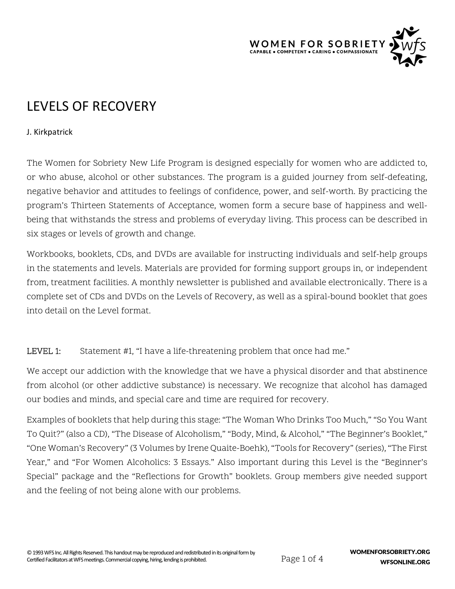

# LEVELS OF RECOVERY

#### J. Kirkpatrick

The Women for Sobriety New Life Program is designed especially for women who are addicted to, or who abuse, alcohol or other substances. The program is a guided journey from self-defeating, negative behavior and attitudes to feelings of confidence, power, and self-worth. By practicing the program's Thirteen Statements of Acceptance, women form a secure base of happiness and wellbeing that withstands the stress and problems of everyday living. This process can be described in six stages or levels of growth and change.

Workbooks, booklets, CDs, and DVDs are available for instructing individuals and self-help groups in the statements and levels. Materials are provided for forming support groups in, or independent from, treatment facilities. A monthly newsletter is published and available electronically. There is a complete set of CDs and DVDs on the Levels of Recovery, as well as a spiral-bound booklet that goes into detail on the Level format.

## LEVEL 1: Statement #1, "I have a life-threatening problem that once had me."

We accept our addiction with the knowledge that we have a physical disorder and that abstinence from alcohol (or other addictive substance) is necessary. We recognize that alcohol has damaged our bodies and minds, and special care and time are required for recovery.

Examples of booklets that help during this stage: "The Woman Who Drinks Too Much," "So You Want To Quit?" (also a CD), "The Disease of Alcoholism," "Body, Mind, & Alcohol," "The Beginner's Booklet," "One Woman's Recovery" (3 Volumes by Irene Quaite-Boehk), "Tools for Recovery" (series), "The First Year," and "For Women Alcoholics: 3 Essays." Also important during this Level is the "Beginner's Special" package and the "Reflections for Growth" booklets. Group members give needed support and the feeling of not being alone with our problems.

Page 1 of 4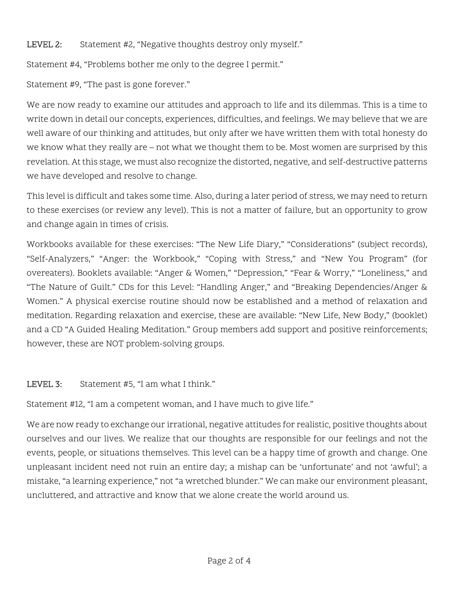#### LEVEL 2: Statement #2, "Negative thoughts destroy only myself."

Statement #4, "Problems bother me only to the degree I permit."

Statement #9, "The past is gone forever."

We are now ready to examine our attitudes and approach to life and its dilemmas. This is a time to write down in detail our concepts, experiences, difficulties, and feelings. We may believe that we are well aware of our thinking and attitudes, but only after we have written them with total honesty do we know what they really are – not what we thought them to be. Most women are surprised by this revelation. At this stage, we must also recognize the distorted, negative, and self-destructive patterns we have developed and resolve to change.

This level is difficult and takes some time. Also, during a later period of stress, we may need to return to these exercises (or review any level). This is not a matter of failure, but an opportunity to grow and change again in times of crisis.

Workbooks available for these exercises: "The New Life Diary," "Considerations" (subject records), "Self-Analyzers," "Anger: the Workbook," "Coping with Stress," and "New You Program" (for overeaters). Booklets available: "Anger & Women," "Depression," "Fear & Worry," "Loneliness," and "The Nature of Guilt." CDs for this Level: "Handling Anger," and "Breaking Dependencies/Anger & Women." A physical exercise routine should now be established and a method of relaxation and meditation. Regarding relaxation and exercise, these are available: "New Life, New Body," (booklet) and a CD "A Guided Healing Meditation." Group members add support and positive reinforcements; however, these are NOT problem-solving groups.

LEVEL 3: Statement #5, "I am what I think."

Statement #12, "I am a competent woman, and I have much to give life."

We are now ready to exchange our irrational, negative attitudes for realistic, positive thoughts about ourselves and our lives. We realize that our thoughts are responsible for our feelings and not the events, people, or situations themselves. This level can be a happy time of growth and change. One unpleasant incident need not ruin an entire day; a mishap can be 'unfortunate' and not 'awful'; a mistake, "a learning experience," not "a wretched blunder." We can make our environment pleasant, uncluttered, and attractive and know that we alone create the world around us.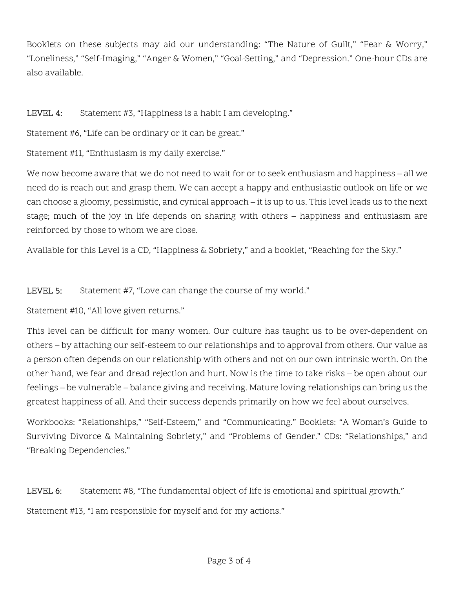Booklets on these subjects may aid our understanding: "The Nature of Guilt," "Fear & Worry," "Loneliness," "Self-Imaging," "Anger & Women," "Goal-Setting," and "Depression." One-hour CDs are also available.

### LEVEL 4: Statement #3, "Happiness is a habit I am developing."

Statement #6, "Life can be ordinary or it can be great."

Statement #11, "Enthusiasm is my daily exercise."

We now become aware that we do not need to wait for or to seek enthusiasm and happiness – all we need do is reach out and grasp them. We can accept a happy and enthusiastic outlook on life or we can choose a gloomy, pessimistic, and cynical approach – it is up to us. This level leads us to the next stage; much of the joy in life depends on sharing with others – happiness and enthusiasm are reinforced by those to whom we are close.

Available for this Level is a CD, "Happiness & Sobriety," and a booklet, "Reaching for the Sky."

#### LEVEL 5: Statement #7, "Love can change the course of my world."

Statement #10, "All love given returns."

This level can be difficult for many women. Our culture has taught us to be over-dependent on others – by attaching our self-esteem to our relationships and to approval from others. Our value as a person often depends on our relationship with others and not on our own intrinsic worth. On the other hand, we fear and dread rejection and hurt. Now is the time to take risks – be open about our feelings – be vulnerable – balance giving and receiving. Mature loving relationships can bring us the greatest happiness of all. And their success depends primarily on how we feel about ourselves.

Workbooks: "Relationships," "Self-Esteem," and "Communicating." Booklets: "A Woman's Guide to Surviving Divorce & Maintaining Sobriety," and "Problems of Gender." CDs: "Relationships," and "Breaking Dependencies."

LEVEL 6: Statement #8, "The fundamental object of life is emotional and spiritual growth."

Statement #13, "I am responsible for myself and for my actions."